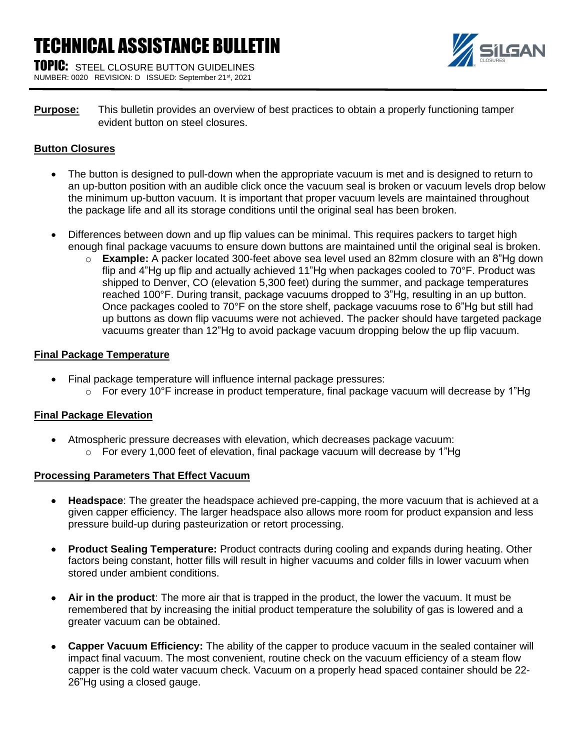# TECHNICAL ASSISTANCE BULLETIN

**TOPIC:** STEEL CLOSURE BUTTON GUIDELINES NUMBER: 0020 REVISION: D ISSUED: September 21st, 2021



**Purpose:** This bulletin provides an overview of best practices to obtain a properly functioning tamper evident button on steel closures.

## **Button Closures**

- The button is designed to pull-down when the appropriate vacuum is met and is designed to return to an up-button position with an audible click once the vacuum seal is broken or vacuum levels drop below the minimum up-button vacuum. It is important that proper vacuum levels are maintained throughout the package life and all its storage conditions until the original seal has been broken.
- Differences between down and up flip values can be minimal. This requires packers to target high enough final package vacuums to ensure down buttons are maintained until the original seal is broken.
	- o **Example:** A packer located 300-feet above sea level used an 82mm closure with an 8"Hg down flip and 4"Hg up flip and actually achieved 11"Hg when packages cooled to 70°F. Product was shipped to Denver, CO (elevation 5,300 feet) during the summer, and package temperatures reached 100°F. During transit, package vacuums dropped to 3"Hg, resulting in an up button. Once packages cooled to 70°F on the store shelf, package vacuums rose to 6"Hg but still had up buttons as down flip vacuums were not achieved. The packer should have targeted package vacuums greater than 12"Hg to avoid package vacuum dropping below the up flip vacuum.

## **Final Package Temperature**

- Final package temperature will influence internal package pressures:
	- $\circ$  For every 10°F increase in product temperature, final package vacuum will decrease by 1"Hg

## **Final Package Elevation**

• Atmospheric pressure decreases with elevation, which decreases package vacuum:  $\circ$  For every 1,000 feet of elevation, final package vacuum will decrease by 1"Hg

#### **Processing Parameters That Effect Vacuum**

- **Headspace**: The greater the headspace achieved pre-capping, the more vacuum that is achieved at a given capper efficiency. The larger headspace also allows more room for product expansion and less pressure build-up during pasteurization or retort processing.
- **Product Sealing Temperature:** Product contracts during cooling and expands during heating. Other factors being constant, hotter fills will result in higher vacuums and colder fills in lower vacuum when stored under ambient conditions.
- **Air in the product**: The more air that is trapped in the product, the lower the vacuum. It must be remembered that by increasing the initial product temperature the solubility of gas is lowered and a greater vacuum can be obtained.
- **Capper Vacuum Efficiency:** The ability of the capper to produce vacuum in the sealed container will impact final vacuum. The most convenient, routine check on the vacuum efficiency of a steam flow capper is the cold water vacuum check. Vacuum on a properly head spaced container should be 22- 26"Hg using a closed gauge.